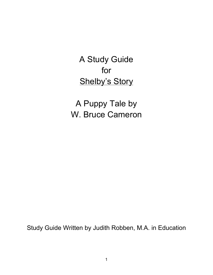A Study Guide for **Shelby's Story** 

A Puppy Tale by W. Bruce Cameron

Study Guide Written by Judith Robben, M.A. in Education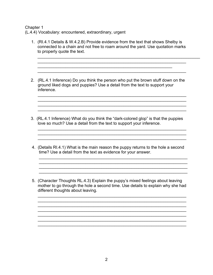Chapter 1 (L.4.4) Vocabulary: encountered, extraordinary, urgent

- 1. (RI.4.1 Details & W.4.2.B) Provide evidence from the text that shows Shelby is connected to a chain and not free to roam around the yard. Use quotation marks to properly quote the text. \_\_\_\_\_\_\_\_\_\_\_\_\_\_\_\_\_\_\_\_\_\_\_\_\_\_\_\_\_\_\_\_\_\_\_\_\_\_\_\_\_\_\_\_\_\_\_\_\_\_\_\_\_\_\_\_\_\_ 2. (RL.4.1 Inference) Do you think the person who put the brown stuff down on the ground liked dogs and puppies? Use a detail from the text to support your inference.  $\mathcal{L}_\text{max} = \frac{1}{2} \sum_{i=1}^{n} \frac{1}{2} \sum_{i=1}^{n} \frac{1}{2} \sum_{i=1}^{n} \frac{1}{2} \sum_{i=1}^{n} \frac{1}{2} \sum_{i=1}^{n} \frac{1}{2} \sum_{i=1}^{n} \frac{1}{2} \sum_{i=1}^{n} \frac{1}{2} \sum_{i=1}^{n} \frac{1}{2} \sum_{i=1}^{n} \frac{1}{2} \sum_{i=1}^{n} \frac{1}{2} \sum_{i=1}^{n} \frac{1}{2} \sum_{i=1}^{n} \frac{1$  $\mathcal{L}_\text{max} = \frac{1}{2} \sum_{i=1}^{n} \frac{1}{2} \sum_{i=1}^{n} \frac{1}{2} \sum_{i=1}^{n} \frac{1}{2} \sum_{i=1}^{n} \frac{1}{2} \sum_{i=1}^{n} \frac{1}{2} \sum_{i=1}^{n} \frac{1}{2} \sum_{i=1}^{n} \frac{1}{2} \sum_{i=1}^{n} \frac{1}{2} \sum_{i=1}^{n} \frac{1}{2} \sum_{i=1}^{n} \frac{1}{2} \sum_{i=1}^{n} \frac{1}{2} \sum_{i=1}^{n} \frac{1$  $\mathcal{L}_\text{max}$  and  $\mathcal{L}_\text{max}$  and  $\mathcal{L}_\text{max}$  and  $\mathcal{L}_\text{max}$  and  $\mathcal{L}_\text{max}$  and  $\mathcal{L}_\text{max}$  $\mathcal{L}_\text{max} = \frac{1}{2} \sum_{i=1}^{n} \frac{1}{2} \sum_{i=1}^{n} \frac{1}{2} \sum_{i=1}^{n} \frac{1}{2} \sum_{i=1}^{n} \frac{1}{2} \sum_{i=1}^{n} \frac{1}{2} \sum_{i=1}^{n} \frac{1}{2} \sum_{i=1}^{n} \frac{1}{2} \sum_{i=1}^{n} \frac{1}{2} \sum_{i=1}^{n} \frac{1}{2} \sum_{i=1}^{n} \frac{1}{2} \sum_{i=1}^{n} \frac{1}{2} \sum_{i=1}^{n} \frac{1$  3. (RL.4.1 Inference) What do you think the "dark-colored glop" is that the puppies love so much? Use a detail from the text to support your inference.  $\mathcal{L}_\text{max} = \frac{1}{2} \sum_{i=1}^{n} \frac{1}{2} \sum_{i=1}^{n} \frac{1}{2} \sum_{i=1}^{n} \frac{1}{2} \sum_{i=1}^{n} \frac{1}{2} \sum_{i=1}^{n} \frac{1}{2} \sum_{i=1}^{n} \frac{1}{2} \sum_{i=1}^{n} \frac{1}{2} \sum_{i=1}^{n} \frac{1}{2} \sum_{i=1}^{n} \frac{1}{2} \sum_{i=1}^{n} \frac{1}{2} \sum_{i=1}^{n} \frac{1}{2} \sum_{i=1}^{n} \frac{1$  4. (Details RI.4.1) What is the main reason the puppy returns to the hole a second time? Use a detail from the text as evidence for your answer.  $\mathcal{L}_\text{max} = \frac{1}{2} \sum_{i=1}^n \mathcal{L}_\text{max}(\mathbf{z}_i - \mathbf{z}_i)$  $\overline{\phantom{a}}$  , and the contribution of the contribution of the contribution of the contribution of the contribution of the contribution of the contribution of the contribution of the contribution of the contribution of the
- 5. (Character Thoughts RL.4.3) Explain the puppy's mixed feelings about leaving mother to go through the hole a second time. Use details to explain why she had different thoughts about leaving.  $\mathcal{L}_\text{max} = \frac{1}{2} \sum_{i=1}^{n} \frac{1}{2} \sum_{i=1}^{n} \frac{1}{2} \sum_{i=1}^{n} \frac{1}{2} \sum_{i=1}^{n} \frac{1}{2} \sum_{i=1}^{n} \frac{1}{2} \sum_{i=1}^{n} \frac{1}{2} \sum_{i=1}^{n} \frac{1}{2} \sum_{i=1}^{n} \frac{1}{2} \sum_{i=1}^{n} \frac{1}{2} \sum_{i=1}^{n} \frac{1}{2} \sum_{i=1}^{n} \frac{1}{2} \sum_{i=1}^{n} \frac{1$

 $\mathcal{L}_\text{max} = \frac{1}{2} \sum_{i=1}^{n} \frac{1}{2} \sum_{i=1}^{n} \frac{1}{2} \sum_{i=1}^{n} \frac{1}{2} \sum_{i=1}^{n} \frac{1}{2} \sum_{i=1}^{n} \frac{1}{2} \sum_{i=1}^{n} \frac{1}{2} \sum_{i=1}^{n} \frac{1}{2} \sum_{i=1}^{n} \frac{1}{2} \sum_{i=1}^{n} \frac{1}{2} \sum_{i=1}^{n} \frac{1}{2} \sum_{i=1}^{n} \frac{1}{2} \sum_{i=1}^{n} \frac{1$  $\mathcal{L}_\text{max} = \frac{1}{2} \sum_{i=1}^{n} \frac{1}{2} \sum_{i=1}^{n} \frac{1}{2} \sum_{i=1}^{n} \frac{1}{2} \sum_{i=1}^{n} \frac{1}{2} \sum_{i=1}^{n} \frac{1}{2} \sum_{i=1}^{n} \frac{1}{2} \sum_{i=1}^{n} \frac{1}{2} \sum_{i=1}^{n} \frac{1}{2} \sum_{i=1}^{n} \frac{1}{2} \sum_{i=1}^{n} \frac{1}{2} \sum_{i=1}^{n} \frac{1}{2} \sum_{i=1}^{n} \frac{1$  $\mathcal{L}_\text{max} = \frac{1}{2} \sum_{i=1}^{n} \frac{1}{2} \sum_{i=1}^{n} \frac{1}{2} \sum_{i=1}^{n} \frac{1}{2} \sum_{i=1}^{n} \frac{1}{2} \sum_{i=1}^{n} \frac{1}{2} \sum_{i=1}^{n} \frac{1}{2} \sum_{i=1}^{n} \frac{1}{2} \sum_{i=1}^{n} \frac{1}{2} \sum_{i=1}^{n} \frac{1}{2} \sum_{i=1}^{n} \frac{1}{2} \sum_{i=1}^{n} \frac{1}{2} \sum_{i=1}^{n} \frac{1$  $\mathcal{L}_\text{max} = \frac{1}{2} \sum_{i=1}^{n} \frac{1}{2} \sum_{i=1}^{n} \frac{1}{2} \sum_{i=1}^{n} \frac{1}{2} \sum_{i=1}^{n} \frac{1}{2} \sum_{i=1}^{n} \frac{1}{2} \sum_{i=1}^{n} \frac{1}{2} \sum_{i=1}^{n} \frac{1}{2} \sum_{i=1}^{n} \frac{1}{2} \sum_{i=1}^{n} \frac{1}{2} \sum_{i=1}^{n} \frac{1}{2} \sum_{i=1}^{n} \frac{1}{2} \sum_{i=1}^{n} \frac{1$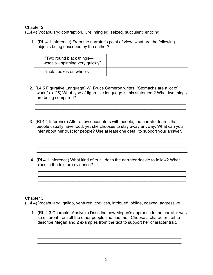(L.4.4) Vocabulary: contraption, lure, mingled, seized, succulent, enticing

 1. (RL.4.1 Inference) From the narrator's point of view, what are the following objects being described by the author?

| "Two round black things-<br>wheels-spinning very quickly" |  |
|-----------------------------------------------------------|--|
| "metal boxes on wheels"                                   |  |

 2. (L4.5 Figurative Language) W. Bruce Cameron writes, "Stomachs are a lot of work." (p. 25) What type of figurative language is this statement? What two things are being compared?

 $\mathcal{L}_\text{max} = \frac{1}{2} \sum_{i=1}^{n} \frac{1}{2} \sum_{i=1}^{n} \frac{1}{2} \sum_{i=1}^{n} \frac{1}{2} \sum_{i=1}^{n} \frac{1}{2} \sum_{i=1}^{n} \frac{1}{2} \sum_{i=1}^{n} \frac{1}{2} \sum_{i=1}^{n} \frac{1}{2} \sum_{i=1}^{n} \frac{1}{2} \sum_{i=1}^{n} \frac{1}{2} \sum_{i=1}^{n} \frac{1}{2} \sum_{i=1}^{n} \frac{1}{2} \sum_{i=1}^{n} \frac{1$  $\mathcal{L}=\mathcal{L}=\mathcal{L}=\mathcal{L}=\mathcal{L}=\mathcal{L}=\mathcal{L}=\mathcal{L}=\mathcal{L}=\mathcal{L}=\mathcal{L}=\mathcal{L}=\mathcal{L}=\mathcal{L}=\mathcal{L}=\mathcal{L}=\mathcal{L}=\mathcal{L}=\mathcal{L}=\mathcal{L}=\mathcal{L}=\mathcal{L}=\mathcal{L}=\mathcal{L}=\mathcal{L}=\mathcal{L}=\mathcal{L}=\mathcal{L}=\mathcal{L}=\mathcal{L}=\mathcal{L}=\mathcal{L}=\mathcal{L}=\mathcal{L}=\mathcal{L}=\mathcal{L}=\mathcal{$ 

 $\mathcal{L}_\mathcal{L} = \mathcal{L}_\mathcal{L} = \mathcal{L}_\mathcal{L} = \mathcal{L}_\mathcal{L} = \mathcal{L}_\mathcal{L} = \mathcal{L}_\mathcal{L} = \mathcal{L}_\mathcal{L} = \mathcal{L}_\mathcal{L} = \mathcal{L}_\mathcal{L} = \mathcal{L}_\mathcal{L} = \mathcal{L}_\mathcal{L} = \mathcal{L}_\mathcal{L} = \mathcal{L}_\mathcal{L} = \mathcal{L}_\mathcal{L} = \mathcal{L}_\mathcal{L} = \mathcal{L}_\mathcal{L} = \mathcal{L}_\mathcal{L}$  $\mathcal{L}_\text{max} = \frac{1}{2} \sum_{i=1}^{n} \frac{1}{2} \sum_{i=1}^{n} \frac{1}{2} \sum_{i=1}^{n} \frac{1}{2} \sum_{i=1}^{n} \frac{1}{2} \sum_{i=1}^{n} \frac{1}{2} \sum_{i=1}^{n} \frac{1}{2} \sum_{i=1}^{n} \frac{1}{2} \sum_{i=1}^{n} \frac{1}{2} \sum_{i=1}^{n} \frac{1}{2} \sum_{i=1}^{n} \frac{1}{2} \sum_{i=1}^{n} \frac{1}{2} \sum_{i=1}^{n} \frac{1$  $\mathcal{L}_\text{max} = \frac{1}{2} \sum_{i=1}^{n} \frac{1}{2} \sum_{i=1}^{n} \frac{1}{2} \sum_{i=1}^{n} \frac{1}{2} \sum_{i=1}^{n} \frac{1}{2} \sum_{i=1}^{n} \frac{1}{2} \sum_{i=1}^{n} \frac{1}{2} \sum_{i=1}^{n} \frac{1}{2} \sum_{i=1}^{n} \frac{1}{2} \sum_{i=1}^{n} \frac{1}{2} \sum_{i=1}^{n} \frac{1}{2} \sum_{i=1}^{n} \frac{1}{2} \sum_{i=1}^{n} \frac{1$  $\mathcal{L}_\mathcal{L} = \mathcal{L}_\mathcal{L} = \mathcal{L}_\mathcal{L} = \mathcal{L}_\mathcal{L} = \mathcal{L}_\mathcal{L} = \mathcal{L}_\mathcal{L} = \mathcal{L}_\mathcal{L} = \mathcal{L}_\mathcal{L} = \mathcal{L}_\mathcal{L} = \mathcal{L}_\mathcal{L} = \mathcal{L}_\mathcal{L} = \mathcal{L}_\mathcal{L} = \mathcal{L}_\mathcal{L} = \mathcal{L}_\mathcal{L} = \mathcal{L}_\mathcal{L} = \mathcal{L}_\mathcal{L} = \mathcal{L}_\mathcal{L}$ 

 $\mathcal{L}_\text{max} = \frac{1}{2} \sum_{i=1}^{n} \frac{1}{2} \sum_{i=1}^{n} \frac{1}{2} \sum_{i=1}^{n} \frac{1}{2} \sum_{i=1}^{n} \frac{1}{2} \sum_{i=1}^{n} \frac{1}{2} \sum_{i=1}^{n} \frac{1}{2} \sum_{i=1}^{n} \frac{1}{2} \sum_{i=1}^{n} \frac{1}{2} \sum_{i=1}^{n} \frac{1}{2} \sum_{i=1}^{n} \frac{1}{2} \sum_{i=1}^{n} \frac{1}{2} \sum_{i=1}^{n} \frac{1$ 

 $\mathcal{L}_\text{max}$  , and the contract of the contract of the contract of the contract of the contract of the contract of the contract of the contract of the contract of the contract of the contract of the contract of the contr  $\mathcal{L}_\text{max}$  , and the contract of the contract of the contract of the contract of the contract of the contract of the contract of the contract of the contract of the contract of the contract of the contract of the contr  $\mathcal{L}_\text{max} = \mathcal{L}_\text{max} = \mathcal{L}_\text{max} = \mathcal{L}_\text{max} = \mathcal{L}_\text{max} = \mathcal{L}_\text{max} = \mathcal{L}_\text{max} = \mathcal{L}_\text{max} = \mathcal{L}_\text{max} = \mathcal{L}_\text{max} = \mathcal{L}_\text{max} = \mathcal{L}_\text{max} = \mathcal{L}_\text{max} = \mathcal{L}_\text{max} = \mathcal{L}_\text{max} = \mathcal{L}_\text{max} = \mathcal{L}_\text{max} = \mathcal{L}_\text{max} = \mathcal{$ 

 $\mathcal{L}_\text{max}$  , and the contribution of the contribution of the contribution of the contribution of the contribution of the contribution of the contribution of the contribution of the contribution of the contribution of t

- 3. (RL4.1 Inference) After a few encounters with people, the narrator learns that people usually have food; yet she chooses to stay away anyway. What can you infer about her trust for people? Use at least one detail to support your answer.
- 4. (RL4.1 Inference) What kind of truck does the narrator decide to follow? What clues in the text are evidence?

Chapter 3

(L.4.4) Vocabulary: gallop, ventured, crevices, intrigued, oblige, coaxed, aggressive

1. (RL.4.3 Character Analysis) Describe how Megan's approach to the narrator was so different from all the other people she had met. Choose a character trait to describe Megan and 2 examples from the text to support her character trait.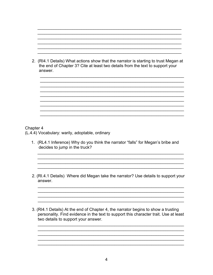| 2. (RI4.1 Details) What actions show that the narrator is starting to trust Megan at<br>the end of Chapter 3? Cite at least two details from the text to support your<br>answer. |
|----------------------------------------------------------------------------------------------------------------------------------------------------------------------------------|
|                                                                                                                                                                                  |
|                                                                                                                                                                                  |
|                                                                                                                                                                                  |
|                                                                                                                                                                                  |
|                                                                                                                                                                                  |

(L.4.4) Vocabulary: warily, adoptable, ordinary

- 1. (RL4.1 Inference) Why do you think the narrator "falls" for Megan's bribe and decides to jump in the truck?
- 2. (RI.4.1 Details) Where did Megan take the narrator? Use details to support your answer.

<u> 1980 - Johann Barnett, fransk politik (d. 1980)</u>

3. (RI4.1 Details) At the end of Chapter 4, the narrator begins to show a trusting personality. Find evidence in the text to support this character trait. Use at least two details to support your answer.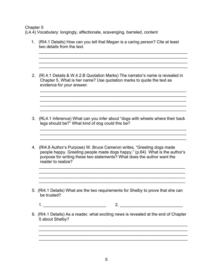(L4.4) Vocabulary: longingly, affectionate, scavenging, barreled, content

1. (RI4.1 Details) How can you tell that Megan is a caring person? Cite at least two details from the text.  $\mathcal{L}_\mathcal{L} = \mathcal{L}_\mathcal{L} = \mathcal{L}_\mathcal{L} = \mathcal{L}_\mathcal{L} = \mathcal{L}_\mathcal{L} = \mathcal{L}_\mathcal{L} = \mathcal{L}_\mathcal{L} = \mathcal{L}_\mathcal{L} = \mathcal{L}_\mathcal{L} = \mathcal{L}_\mathcal{L} = \mathcal{L}_\mathcal{L} = \mathcal{L}_\mathcal{L} = \mathcal{L}_\mathcal{L} = \mathcal{L}_\mathcal{L} = \mathcal{L}_\mathcal{L} = \mathcal{L}_\mathcal{L} = \mathcal{L}_\mathcal{L}$  $\mathcal{L}_\text{max} = \mathcal{L}_\text{max} = \mathcal{L}_\text{max} = \mathcal{L}_\text{max} = \mathcal{L}_\text{max} = \mathcal{L}_\text{max} = \mathcal{L}_\text{max} = \mathcal{L}_\text{max} = \mathcal{L}_\text{max} = \mathcal{L}_\text{max} = \mathcal{L}_\text{max} = \mathcal{L}_\text{max} = \mathcal{L}_\text{max} = \mathcal{L}_\text{max} = \mathcal{L}_\text{max} = \mathcal{L}_\text{max} = \mathcal{L}_\text{max} = \mathcal{L}_\text{max} = \mathcal{$  2. (RI.4.1 Details & W.4.2.B Quotation Marks) The narrator's name is revealed in Chapter 5. What is her name? Use quotation marks to quote the text as evidence for your answer.  $\mathcal{L}_\text{max} = \frac{1}{2} \sum_{i=1}^{n} \frac{1}{2} \sum_{i=1}^{n} \frac{1}{2} \sum_{i=1}^{n} \frac{1}{2} \sum_{i=1}^{n} \frac{1}{2} \sum_{i=1}^{n} \frac{1}{2} \sum_{i=1}^{n} \frac{1}{2} \sum_{i=1}^{n} \frac{1}{2} \sum_{i=1}^{n} \frac{1}{2} \sum_{i=1}^{n} \frac{1}{2} \sum_{i=1}^{n} \frac{1}{2} \sum_{i=1}^{n} \frac{1}{2} \sum_{i=1}^{n} \frac{1$  $\mathcal{L}_\text{max} = \frac{1}{2} \sum_{i=1}^{n} \frac{1}{2} \sum_{i=1}^{n} \frac{1}{2} \sum_{i=1}^{n} \frac{1}{2} \sum_{i=1}^{n} \frac{1}{2} \sum_{i=1}^{n} \frac{1}{2} \sum_{i=1}^{n} \frac{1}{2} \sum_{i=1}^{n} \frac{1}{2} \sum_{i=1}^{n} \frac{1}{2} \sum_{i=1}^{n} \frac{1}{2} \sum_{i=1}^{n} \frac{1}{2} \sum_{i=1}^{n} \frac{1}{2} \sum_{i=1}^{n} \frac{1$  $\mathcal{L}_\text{max}$  and  $\mathcal{L}_\text{max}$  and  $\mathcal{L}_\text{max}$  and  $\mathcal{L}_\text{max}$  and  $\mathcal{L}_\text{max}$  and  $\mathcal{L}_\text{max}$  $\mathcal{L}_\text{max}$  and  $\mathcal{L}_\text{max}$  and  $\mathcal{L}_\text{max}$  and  $\mathcal{L}_\text{max}$  and  $\mathcal{L}_\text{max}$  and  $\mathcal{L}_\text{max}$  3. (RL4.1 Inference) What can you infer about "dogs with wheels where their back legs should be?" What kind of dog could this be?  $\mathcal{L}_\text{max}$  and  $\mathcal{L}_\text{max}$  and  $\mathcal{L}_\text{max}$  and  $\mathcal{L}_\text{max}$  and  $\mathcal{L}_\text{max}$  and  $\mathcal{L}_\text{max}$  $\mathcal{L}_\text{max} = \frac{1}{2} \sum_{i=1}^{n} \frac{1}{2} \sum_{i=1}^{n} \frac{1}{2} \sum_{i=1}^{n} \frac{1}{2} \sum_{i=1}^{n} \frac{1}{2} \sum_{i=1}^{n} \frac{1}{2} \sum_{i=1}^{n} \frac{1}{2} \sum_{i=1}^{n} \frac{1}{2} \sum_{i=1}^{n} \frac{1}{2} \sum_{i=1}^{n} \frac{1}{2} \sum_{i=1}^{n} \frac{1}{2} \sum_{i=1}^{n} \frac{1}{2} \sum_{i=1}^{n} \frac{1$  4. (RI4.8 Author's Purpose) W. Bruce Cameron writes, "Greeting dogs made people happy. Greeting people made dogs happy." (p.64) What is the author's purpose for writing these two statements? What does the author want the reader to realize?  $\mathcal{L}_\text{max} = \mathcal{L}_\text{max} = \mathcal{L}_\text{max} = \mathcal{L}_\text{max} = \mathcal{L}_\text{max} = \mathcal{L}_\text{max} = \mathcal{L}_\text{max} = \mathcal{L}_\text{max} = \mathcal{L}_\text{max} = \mathcal{L}_\text{max} = \mathcal{L}_\text{max} = \mathcal{L}_\text{max} = \mathcal{L}_\text{max} = \mathcal{L}_\text{max} = \mathcal{L}_\text{max} = \mathcal{L}_\text{max} = \mathcal{L}_\text{max} = \mathcal{L}_\text{max} = \mathcal{$  $\mathcal{L}_\text{max} = \mathcal{L}_\text{max} = \mathcal{L}_\text{max} = \mathcal{L}_\text{max} = \mathcal{L}_\text{max} = \mathcal{L}_\text{max} = \mathcal{L}_\text{max} = \mathcal{L}_\text{max} = \mathcal{L}_\text{max} = \mathcal{L}_\text{max} = \mathcal{L}_\text{max} = \mathcal{L}_\text{max} = \mathcal{L}_\text{max} = \mathcal{L}_\text{max} = \mathcal{L}_\text{max} = \mathcal{L}_\text{max} = \mathcal{L}_\text{max} = \mathcal{L}_\text{max} = \mathcal{$  5. (RI4.1 Details) What are the two requirements for Shelby to prove that she can be trusted? 1. \_\_\_\_\_\_\_\_\_\_\_\_\_\_\_\_\_\_\_\_\_\_\_\_\_\_\_ 2. \_\_\_\_\_\_\_\_\_\_\_\_\_\_\_\_\_\_\_\_\_\_\_\_\_\_\_ 6. (RI4.1 Details) As a reader, what exciting news is revealed at the end of Chapter 5 about Shelby?  $\mathcal{L}_\text{max} = \frac{1}{2} \sum_{i=1}^n \mathcal{L}_\text{max}(\mathbf{z}_i - \mathbf{z}_i)$  $\mathcal{L}_\mathcal{L} = \mathcal{L}_\mathcal{L} = \mathcal{L}_\mathcal{L} = \mathcal{L}_\mathcal{L} = \mathcal{L}_\mathcal{L} = \mathcal{L}_\mathcal{L} = \mathcal{L}_\mathcal{L} = \mathcal{L}_\mathcal{L} = \mathcal{L}_\mathcal{L} = \mathcal{L}_\mathcal{L} = \mathcal{L}_\mathcal{L} = \mathcal{L}_\mathcal{L} = \mathcal{L}_\mathcal{L} = \mathcal{L}_\mathcal{L} = \mathcal{L}_\mathcal{L} = \mathcal{L}_\mathcal{L} = \mathcal{L}_\mathcal{L}$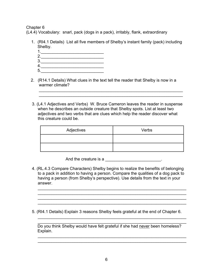(L4.4) Vocabulary: snarl, pack (dogs in a pack), irritably, flank, extraordinary

1. (RI4.1 Details) List all five members of Shelby's instant family (pack) including Shelby.

- 2. (R14.1 Details) What clues in the text tell the reader that Shelby is now in a warmer climate?
- 3. (L4.1 Adjectives and Verbs) W. Bruce Cameron leaves the reader in suspense when he describes an outside creature that Shelby spots. List at least two adjectives and two verbs that are clues which help the reader discover what this creature could be.

 $\mathcal{L}_\text{max} = \frac{1}{2} \sum_{i=1}^{n} \frac{1}{2} \sum_{i=1}^{n} \frac{1}{2} \sum_{i=1}^{n} \frac{1}{2} \sum_{i=1}^{n} \frac{1}{2} \sum_{i=1}^{n} \frac{1}{2} \sum_{i=1}^{n} \frac{1}{2} \sum_{i=1}^{n} \frac{1}{2} \sum_{i=1}^{n} \frac{1}{2} \sum_{i=1}^{n} \frac{1}{2} \sum_{i=1}^{n} \frac{1}{2} \sum_{i=1}^{n} \frac{1}{2} \sum_{i=1}^{n} \frac{1$  $\mathcal{L}_\text{max} = \frac{1}{2} \sum_{i=1}^{n} \frac{1}{2} \sum_{i=1}^{n} \frac{1}{2} \sum_{i=1}^{n} \frac{1}{2} \sum_{i=1}^{n} \frac{1}{2} \sum_{i=1}^{n} \frac{1}{2} \sum_{i=1}^{n} \frac{1}{2} \sum_{i=1}^{n} \frac{1}{2} \sum_{i=1}^{n} \frac{1}{2} \sum_{i=1}^{n} \frac{1}{2} \sum_{i=1}^{n} \frac{1}{2} \sum_{i=1}^{n} \frac{1}{2} \sum_{i=1}^{n} \frac{1$ 

 $\mathcal{L}_\text{max} = \frac{1}{2} \sum_{i=1}^{n} \frac{1}{2} \sum_{i=1}^{n} \frac{1}{2} \sum_{i=1}^{n} \frac{1}{2} \sum_{i=1}^{n} \frac{1}{2} \sum_{i=1}^{n} \frac{1}{2} \sum_{i=1}^{n} \frac{1}{2} \sum_{i=1}^{n} \frac{1}{2} \sum_{i=1}^{n} \frac{1}{2} \sum_{i=1}^{n} \frac{1}{2} \sum_{i=1}^{n} \frac{1}{2} \sum_{i=1}^{n} \frac{1}{2} \sum_{i=1}^{n} \frac{1$  $\mathcal{L}_\text{max} = \frac{1}{2} \sum_{i=1}^{n} \frac{1}{2} \sum_{i=1}^{n} \frac{1}{2} \sum_{i=1}^{n} \frac{1}{2} \sum_{i=1}^{n} \frac{1}{2} \sum_{i=1}^{n} \frac{1}{2} \sum_{i=1}^{n} \frac{1}{2} \sum_{i=1}^{n} \frac{1}{2} \sum_{i=1}^{n} \frac{1}{2} \sum_{i=1}^{n} \frac{1}{2} \sum_{i=1}^{n} \frac{1}{2} \sum_{i=1}^{n} \frac{1}{2} \sum_{i=1}^{n} \frac{1$ 

 $\mathcal{L}_\text{max} = \frac{1}{2} \sum_{i=1}^{n} \frac{1}{2} \sum_{i=1}^{n} \frac{1}{2} \sum_{i=1}^{n} \frac{1}{2} \sum_{i=1}^{n} \frac{1}{2} \sum_{i=1}^{n} \frac{1}{2} \sum_{i=1}^{n} \frac{1}{2} \sum_{i=1}^{n} \frac{1}{2} \sum_{i=1}^{n} \frac{1}{2} \sum_{i=1}^{n} \frac{1}{2} \sum_{i=1}^{n} \frac{1}{2} \sum_{i=1}^{n} \frac{1}{2} \sum_{i=1}^{n} \frac{1$ 

 $\mathcal{L}_\text{max} = \frac{1}{2} \sum_{i=1}^{n} \frac{1}{2} \sum_{i=1}^{n} \frac{1}{2} \sum_{i=1}^{n} \frac{1}{2} \sum_{i=1}^{n} \frac{1}{2} \sum_{i=1}^{n} \frac{1}{2} \sum_{i=1}^{n} \frac{1}{2} \sum_{i=1}^{n} \frac{1}{2} \sum_{i=1}^{n} \frac{1}{2} \sum_{i=1}^{n} \frac{1}{2} \sum_{i=1}^{n} \frac{1}{2} \sum_{i=1}^{n} \frac{1}{2} \sum_{i=1}^{n} \frac{1$ 

 $\mathcal{L}_\text{max}$  and  $\mathcal{L}_\text{max}$  and  $\mathcal{L}_\text{max}$  and  $\mathcal{L}_\text{max}$  and  $\mathcal{L}_\text{max}$  and  $\mathcal{L}_\text{max}$  $\mathcal{L}_\text{max} = \frac{1}{2} \sum_{i=1}^{n} \frac{1}{2} \sum_{i=1}^{n} \frac{1}{2} \sum_{i=1}^{n} \frac{1}{2} \sum_{i=1}^{n} \frac{1}{2} \sum_{i=1}^{n} \frac{1}{2} \sum_{i=1}^{n} \frac{1}{2} \sum_{i=1}^{n} \frac{1}{2} \sum_{i=1}^{n} \frac{1}{2} \sum_{i=1}^{n} \frac{1}{2} \sum_{i=1}^{n} \frac{1}{2} \sum_{i=1}^{n} \frac{1}{2} \sum_{i=1}^{n} \frac{1$ 

 $\mathcal{L}_\text{max}$  and  $\mathcal{L}_\text{max}$  and  $\mathcal{L}_\text{max}$  and  $\mathcal{L}_\text{max}$  and  $\mathcal{L}_\text{max}$  and  $\mathcal{L}_\text{max}$ 

| Adjectives | Verbs |
|------------|-------|
|            |       |
|            |       |

And the creature is a \_\_\_\_\_\_\_\_\_\_\_\_\_\_\_\_\_\_\_\_\_\_\_\_.

 4. (RL.4.3 Compare Characters) Shelby begins to realize the benefits of belonging to a pack in addition to having a person. Compare the qualities of a dog pack to having a person (from Shelby's perspective). Use details from the text in your answer.

5. (RI4.1 Details) Explain 3 reasons Shelby feels grateful at the end of Chapter 6.

Do you think Shelby would have felt grateful if she had never been homeless? Explain.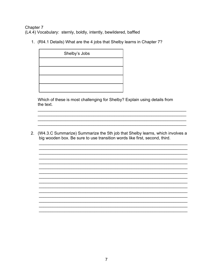Chapter 7 (L4.4) Vocabulary: sternly, boldly, intently, bewildered, baffled

1. (RI4.1 Details) What are the 4 jobs that Shelby learns in Chapter 7?

| Shelby's Jobs |  |  |
|---------------|--|--|
|               |  |  |
|               |  |  |
|               |  |  |
|               |  |  |

Which of these is most challenging for Shelby? Explain using details from the text.

2. (W4.3.C Summarize) Summarize the 5th job that Shelby learns, which involves a big wooden box. Be sure to use transition words like first, second, third.

<u> 1989 - Johann Stoff, deutscher Stoffen und der Stoffen und der Stoffen und der Stoffen und der Stoffen und de</u>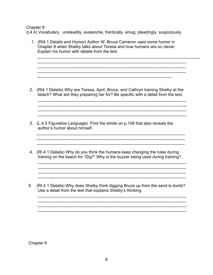(L4.4) Vocabulary: unsteadily, avalanche, frantically, smug, pleadingly, suspiciously

1. (RI4.1 Details and Humor) Author W. Bruce Cameron uses some humor in Chapter 8 when Shelby talks about Teresa and how humans are so clever. Explain his humor with details from the text.  $\mathcal{L}_\text{max} = \mathcal{L}_\text{max} = \mathcal{L}_\text{max} = \mathcal{L}_\text{max} = \mathcal{L}_\text{max} = \mathcal{L}_\text{max} = \mathcal{L}_\text{max} = \mathcal{L}_\text{max} = \mathcal{L}_\text{max} = \mathcal{L}_\text{max} = \mathcal{L}_\text{max} = \mathcal{L}_\text{max} = \mathcal{L}_\text{max} = \mathcal{L}_\text{max} = \mathcal{L}_\text{max} = \mathcal{L}_\text{max} = \mathcal{L}_\text{max} = \mathcal{L}_\text{max} = \mathcal{$  $\mathcal{L}_\text{max}$  and  $\mathcal{L}_\text{max}$  and  $\mathcal{L}_\text{max}$  and  $\mathcal{L}_\text{max}$  and  $\mathcal{L}_\text{max}$  and  $\mathcal{L}_\text{max}$  $\mathcal{L}_\text{max}$  , and the contract of the contract of the contract of the contract of the contract of the contract of the contract of the contract of the contract of the contract of the contract of the contract of the contr 2. (RI4.1 Details) Why are Teresa, April, Bruce, and Cathryn training Shelby at the beach? What are they preparing her for? Be specific with a detail from the text.  $\mathcal{L}_\text{max} = \frac{1}{2} \sum_{i=1}^{n} \frac{1}{2} \sum_{i=1}^{n} \frac{1}{2} \sum_{i=1}^{n} \frac{1}{2} \sum_{i=1}^{n} \frac{1}{2} \sum_{i=1}^{n} \frac{1}{2} \sum_{i=1}^{n} \frac{1}{2} \sum_{i=1}^{n} \frac{1}{2} \sum_{i=1}^{n} \frac{1}{2} \sum_{i=1}^{n} \frac{1}{2} \sum_{i=1}^{n} \frac{1}{2} \sum_{i=1}^{n} \frac{1}{2} \sum_{i=1}^{n} \frac{1$  $\mathcal{L}_\text{max} = \frac{1}{2} \sum_{i=1}^{n} \frac{1}{2} \sum_{i=1}^{n} \frac{1}{2} \sum_{i=1}^{n} \frac{1}{2} \sum_{i=1}^{n} \frac{1}{2} \sum_{i=1}^{n} \frac{1}{2} \sum_{i=1}^{n} \frac{1}{2} \sum_{i=1}^{n} \frac{1}{2} \sum_{i=1}^{n} \frac{1}{2} \sum_{i=1}^{n} \frac{1}{2} \sum_{i=1}^{n} \frac{1}{2} \sum_{i=1}^{n} \frac{1}{2} \sum_{i=1}^{n} \frac{1$ 

 $\mathcal{L}_\text{max} = \frac{1}{2} \sum_{i=1}^{n} \frac{1}{2} \sum_{i=1}^{n} \frac{1}{2} \sum_{i=1}^{n} \frac{1}{2} \sum_{i=1}^{n} \frac{1}{2} \sum_{i=1}^{n} \frac{1}{2} \sum_{i=1}^{n} \frac{1}{2} \sum_{i=1}^{n} \frac{1}{2} \sum_{i=1}^{n} \frac{1}{2} \sum_{i=1}^{n} \frac{1}{2} \sum_{i=1}^{n} \frac{1}{2} \sum_{i=1}^{n} \frac{1}{2} \sum_{i=1}^{n} \frac{1$  $\mathcal{L}_\text{max} = \frac{1}{2} \sum_{i=1}^{n} \frac{1}{2} \sum_{i=1}^{n} \frac{1}{2} \sum_{i=1}^{n} \frac{1}{2} \sum_{i=1}^{n} \frac{1}{2} \sum_{i=1}^{n} \frac{1}{2} \sum_{i=1}^{n} \frac{1}{2} \sum_{i=1}^{n} \frac{1}{2} \sum_{i=1}^{n} \frac{1}{2} \sum_{i=1}^{n} \frac{1}{2} \sum_{i=1}^{n} \frac{1}{2} \sum_{i=1}^{n} \frac{1}{2} \sum_{i=1}^{n} \frac{1$ 

 $\mathcal{L}_\text{max} = \frac{1}{2} \sum_{i=1}^{n} \frac{1}{2} \sum_{i=1}^{n} \frac{1}{2} \sum_{i=1}^{n} \frac{1}{2} \sum_{i=1}^{n} \frac{1}{2} \sum_{i=1}^{n} \frac{1}{2} \sum_{i=1}^{n} \frac{1}{2} \sum_{i=1}^{n} \frac{1}{2} \sum_{i=1}^{n} \frac{1}{2} \sum_{i=1}^{n} \frac{1}{2} \sum_{i=1}^{n} \frac{1}{2} \sum_{i=1}^{n} \frac{1}{2} \sum_{i=1}^{n} \frac{1$  $\mathcal{L}_\text{max} = \frac{1}{2} \sum_{i=1}^{n} \frac{1}{2} \sum_{i=1}^{n} \frac{1}{2} \sum_{i=1}^{n} \frac{1}{2} \sum_{i=1}^{n} \frac{1}{2} \sum_{i=1}^{n} \frac{1}{2} \sum_{i=1}^{n} \frac{1}{2} \sum_{i=1}^{n} \frac{1}{2} \sum_{i=1}^{n} \frac{1}{2} \sum_{i=1}^{n} \frac{1}{2} \sum_{i=1}^{n} \frac{1}{2} \sum_{i=1}^{n} \frac{1}{2} \sum_{i=1}^{n} \frac{1$ 

 $\mathcal{L}_\text{max} = \frac{1}{2} \sum_{i=1}^{n} \frac{1}{2} \sum_{i=1}^{n} \frac{1}{2} \sum_{i=1}^{n} \frac{1}{2} \sum_{i=1}^{n} \frac{1}{2} \sum_{i=1}^{n} \frac{1}{2} \sum_{i=1}^{n} \frac{1}{2} \sum_{i=1}^{n} \frac{1}{2} \sum_{i=1}^{n} \frac{1}{2} \sum_{i=1}^{n} \frac{1}{2} \sum_{i=1}^{n} \frac{1}{2} \sum_{i=1}^{n} \frac{1}{2} \sum_{i=1}^{n} \frac{1$ 

 $\mathcal{L}_\text{max} = \frac{1}{2} \sum_{i=1}^{n} \frac{1}{2} \sum_{i=1}^{n} \frac{1}{2} \sum_{i=1}^{n} \frac{1}{2} \sum_{i=1}^{n} \frac{1}{2} \sum_{i=1}^{n} \frac{1}{2} \sum_{i=1}^{n} \frac{1}{2} \sum_{i=1}^{n} \frac{1}{2} \sum_{i=1}^{n} \frac{1}{2} \sum_{i=1}^{n} \frac{1}{2} \sum_{i=1}^{n} \frac{1}{2} \sum_{i=1}^{n} \frac{1}{2} \sum_{i=1}^{n} \frac{1$ 

 $\mathcal{L}_\text{max} = \frac{1}{2} \sum_{i=1}^{n} \frac{1}{2} \sum_{i=1}^{n} \frac{1}{2} \sum_{i=1}^{n} \frac{1}{2} \sum_{i=1}^{n} \frac{1}{2} \sum_{i=1}^{n} \frac{1}{2} \sum_{i=1}^{n} \frac{1}{2} \sum_{i=1}^{n} \frac{1}{2} \sum_{i=1}^{n} \frac{1}{2} \sum_{i=1}^{n} \frac{1}{2} \sum_{i=1}^{n} \frac{1}{2} \sum_{i=1}^{n} \frac{1}{2} \sum_{i=1}^{n} \frac{1$ 

- 3. (L.4.5 Figurative Language) Find the simile on p.108 that also reveals the author's humor about himself.
- 4. (RI.4.1 Details) Why do you think the humans keep changing the rules during training on the beach for "Dig?" Why is the buzzer being used during training?

 $\overline{\phantom{a}}$  , and the contribution of the contribution of the contribution of the contribution of the contribution of the contribution of the contribution of the contribution of the contribution of the contribution of the

 5. (RI.4.1 Details) Why does Shelby think digging Bruce up from the sand is dumb? Use a detail from the text that explains Shelby's thinking.  $\mathcal{L}_\text{max} = \frac{1}{2} \sum_{i=1}^{n} \frac{1}{2} \sum_{i=1}^{n} \frac{1}{2} \sum_{i=1}^{n} \frac{1}{2} \sum_{i=1}^{n} \frac{1}{2} \sum_{i=1}^{n} \frac{1}{2} \sum_{i=1}^{n} \frac{1}{2} \sum_{i=1}^{n} \frac{1}{2} \sum_{i=1}^{n} \frac{1}{2} \sum_{i=1}^{n} \frac{1}{2} \sum_{i=1}^{n} \frac{1}{2} \sum_{i=1}^{n} \frac{1}{2} \sum_{i=1}^{n} \frac{1$ 

 $\mathcal{L}_\text{max} = \mathcal{L}_\text{max} = \mathcal{L}_\text{max} = \mathcal{L}_\text{max} = \mathcal{L}_\text{max} = \mathcal{L}_\text{max} = \mathcal{L}_\text{max} = \mathcal{L}_\text{max} = \mathcal{L}_\text{max} = \mathcal{L}_\text{max} = \mathcal{L}_\text{max} = \mathcal{L}_\text{max} = \mathcal{L}_\text{max} = \mathcal{L}_\text{max} = \mathcal{L}_\text{max} = \mathcal{L}_\text{max} = \mathcal{L}_\text{max} = \mathcal{L}_\text{max} = \mathcal{$ 

 $\overline{\phantom{a}}$  , and the contribution of the contribution of the contribution of the contribution of the contribution of the contribution of the contribution of the contribution of the contribution of the contribution of the

Chapter 9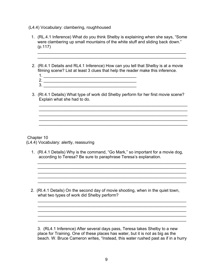- (L4.4) Vocabulary: clambering, roughhoused
	- 1. (RL.4.1 Inference) What do you think Shelby is explaining when she says, "Some were clambering up small mountains of the white stuff and sliding back down." (p.117)

 $\mathcal{L}_\text{max}$  , and the contract of the contract of the contract of the contract of the contract of the contract of the contract of the contract of the contract of the contract of the contract of the contract of the contr

 $\mathcal{L}_\text{max}$  and  $\mathcal{L}_\text{max}$  and  $\mathcal{L}_\text{max}$  and  $\mathcal{L}_\text{max}$  and  $\mathcal{L}_\text{max}$  and  $\mathcal{L}_\text{max}$ 

 $\mathcal{L}_\text{max} = \frac{1}{2} \sum_{i=1}^n \mathcal{L}_\text{max}(\mathbf{z}_i - \mathbf{z}_i)$  $\mathcal{L}_\text{max} = \frac{1}{2} \sum_{i=1}^n \mathcal{L}_\text{max}(\mathbf{z}_i - \mathbf{z}_i)$  $\mathcal{L}_\mathcal{L} = \mathcal{L}_\mathcal{L} = \mathcal{L}_\mathcal{L} = \mathcal{L}_\mathcal{L} = \mathcal{L}_\mathcal{L} = \mathcal{L}_\mathcal{L} = \mathcal{L}_\mathcal{L} = \mathcal{L}_\mathcal{L} = \mathcal{L}_\mathcal{L} = \mathcal{L}_\mathcal{L} = \mathcal{L}_\mathcal{L} = \mathcal{L}_\mathcal{L} = \mathcal{L}_\mathcal{L} = \mathcal{L}_\mathcal{L} = \mathcal{L}_\mathcal{L} = \mathcal{L}_\mathcal{L} = \mathcal{L}_\mathcal{L}$ 

 $\mathcal{L}_\mathcal{L} = \mathcal{L}_\mathcal{L} = \mathcal{L}_\mathcal{L} = \mathcal{L}_\mathcal{L} = \mathcal{L}_\mathcal{L} = \mathcal{L}_\mathcal{L} = \mathcal{L}_\mathcal{L} = \mathcal{L}_\mathcal{L} = \mathcal{L}_\mathcal{L} = \mathcal{L}_\mathcal{L} = \mathcal{L}_\mathcal{L} = \mathcal{L}_\mathcal{L} = \mathcal{L}_\mathcal{L} = \mathcal{L}_\mathcal{L} = \mathcal{L}_\mathcal{L} = \mathcal{L}_\mathcal{L} = \mathcal{L}_\mathcal{L}$ 

 $\mathcal{L}_\text{max}$  , and the contract of the contract of the contract of the contract of the contract of the contract of the contract of the contract of the contract of the contract of the contract of the contract of the contr

 $\mathcal{L}_\text{max} = \frac{1}{2} \sum_{i=1}^{n} \frac{1}{2} \sum_{i=1}^{n} \frac{1}{2} \sum_{i=1}^{n} \frac{1}{2} \sum_{i=1}^{n} \frac{1}{2} \sum_{i=1}^{n} \frac{1}{2} \sum_{i=1}^{n} \frac{1}{2} \sum_{i=1}^{n} \frac{1}{2} \sum_{i=1}^{n} \frac{1}{2} \sum_{i=1}^{n} \frac{1}{2} \sum_{i=1}^{n} \frac{1}{2} \sum_{i=1}^{n} \frac{1}{2} \sum_{i=1}^{n} \frac{1$ 

 $\mathcal{L}_\text{max} = \frac{1}{2} \sum_{i=1}^{n} \frac{1}{2} \sum_{i=1}^{n} \frac{1}{2} \sum_{i=1}^{n} \frac{1}{2} \sum_{i=1}^{n} \frac{1}{2} \sum_{i=1}^{n} \frac{1}{2} \sum_{i=1}^{n} \frac{1}{2} \sum_{i=1}^{n} \frac{1}{2} \sum_{i=1}^{n} \frac{1}{2} \sum_{i=1}^{n} \frac{1}{2} \sum_{i=1}^{n} \frac{1}{2} \sum_{i=1}^{n} \frac{1}{2} \sum_{i=1}^{n} \frac{1$  $\mathcal{L}_\text{max} = \frac{1}{2} \sum_{i=1}^{n} \frac{1}{2} \sum_{i=1}^{n} \frac{1}{2} \sum_{i=1}^{n} \frac{1}{2} \sum_{i=1}^{n} \frac{1}{2} \sum_{i=1}^{n} \frac{1}{2} \sum_{i=1}^{n} \frac{1}{2} \sum_{i=1}^{n} \frac{1}{2} \sum_{i=1}^{n} \frac{1}{2} \sum_{i=1}^{n} \frac{1}{2} \sum_{i=1}^{n} \frac{1}{2} \sum_{i=1}^{n} \frac{1}{2} \sum_{i=1}^{n} \frac{1$ 

 $\overline{\phantom{a}}$  , and the contribution of the contribution of the contribution of the contribution of the contribution of the contribution of the contribution of the contribution of the contribution of the contribution of the

- 2. (RI.4.1 Details and RL4.1 Inference) How can you tell that Shelby is at a movie filming scene? List at least 3 clues that help the reader make this inference.
	- 1. \_\_\_\_\_\_\_\_\_\_\_\_\_\_\_\_\_\_\_\_\_\_\_\_\_\_\_\_\_\_\_\_\_\_\_\_\_\_\_\_ 2. \_\_\_\_\_\_\_\_\_\_\_\_\_\_\_\_\_\_\_\_\_\_\_\_\_\_\_\_\_\_\_\_\_\_\_\_\_\_\_\_

3. \_\_\_\_\_\_\_\_\_\_\_\_\_\_\_\_\_\_\_\_\_\_\_\_\_\_\_\_\_\_\_\_\_\_\_\_\_\_\_\_

 3. (RI.4.1 Details) What type of work did Shelby perform for her first movie scene? Explain what she had to do.

Chapter 10

(L4.4) Vocabulary: alertly, reassuring

1. (RI.4.1 Details) Why is the command, "Go Mark," so important for a movie dog, according to Teresa? Be sure to paraphrase Teresa's explanation.

 2. (RI.4.1 Details) On the second day of movie shooting, when in the quiet town, what two types of work did Shelby perform?

3. (RL4.1 Inference) After several days pass, Teresa takes Shelby to a new place for Training. One of these places has water, but it is not as big as the beach. W. Bruce Cameron writes, "Instead, this water rushed past as if in a hurry

 $\overline{\phantom{a}}$  , and the contribution of the contribution of the contribution of the contribution of the contribution of the contribution of the contribution of the contribution of the contribution of the contribution of the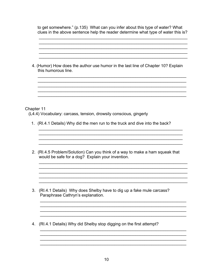to get somewhere." (p.135) What can you infer about this type of water? What clues in the above sentence help the reader determine what type of water this is?

4. (Humor) How does the author use humor in the last line of Chapter 10? Explain this humorous line. Chapter 11 (L4.4) Vocabulary: carcass, tension, drowsily conscious, gingerly 1. (RI.4.1 Details) Why did the men run to the truck and dive into the back? <u> 1989 - Johann Stein, marwolaethau (b. 1989)</u> 2. (RI.4.5 Problem/Solution) Can you think of a way to make a ham squeak that would be safe for a dog? Explain your invention. <u> 1989 - Johann Stoff, deutscher Stoffen und der Stoffen und der Stoffen und der Stoffen und der Stoffen und de</u> 3. (RI.4.1 Details) Why does Shelby have to dig up a fake mule carcass? Paraphrase Cathryn's explanation. 

4. (RI.4.1 Details) Why did Shelby stop digging on the first attempt?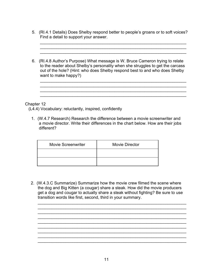5. (RI.4.1 Details) Does Shelby respond better to people's groans or to soft voices? Find a detail to support your answer.

 $\mathcal{L}_\text{max} = \frac{1}{2} \sum_{i=1}^{n} \frac{1}{2} \sum_{i=1}^{n} \frac{1}{2} \sum_{i=1}^{n} \frac{1}{2} \sum_{i=1}^{n} \frac{1}{2} \sum_{i=1}^{n} \frac{1}{2} \sum_{i=1}^{n} \frac{1}{2} \sum_{i=1}^{n} \frac{1}{2} \sum_{i=1}^{n} \frac{1}{2} \sum_{i=1}^{n} \frac{1}{2} \sum_{i=1}^{n} \frac{1}{2} \sum_{i=1}^{n} \frac{1}{2} \sum_{i=1}^{n} \frac{1$  $\mathcal{L}_\text{max} = \frac{1}{2} \sum_{i=1}^{n} \frac{1}{2} \sum_{i=1}^{n} \frac{1}{2} \sum_{i=1}^{n} \frac{1}{2} \sum_{i=1}^{n} \frac{1}{2} \sum_{i=1}^{n} \frac{1}{2} \sum_{i=1}^{n} \frac{1}{2} \sum_{i=1}^{n} \frac{1}{2} \sum_{i=1}^{n} \frac{1}{2} \sum_{i=1}^{n} \frac{1}{2} \sum_{i=1}^{n} \frac{1}{2} \sum_{i=1}^{n} \frac{1}{2} \sum_{i=1}^{n} \frac{1$  $\mathcal{L}_\text{max} = \frac{1}{2} \sum_{i=1}^{n} \frac{1}{2} \sum_{i=1}^{n} \frac{1}{2} \sum_{i=1}^{n} \frac{1}{2} \sum_{i=1}^{n} \frac{1}{2} \sum_{i=1}^{n} \frac{1}{2} \sum_{i=1}^{n} \frac{1}{2} \sum_{i=1}^{n} \frac{1}{2} \sum_{i=1}^{n} \frac{1}{2} \sum_{i=1}^{n} \frac{1}{2} \sum_{i=1}^{n} \frac{1}{2} \sum_{i=1}^{n} \frac{1}{2} \sum_{i=1}^{n} \frac{1$ 

 $\mathcal{L}_\text{max}$  and  $\mathcal{L}_\text{max}$  and  $\mathcal{L}_\text{max}$  and  $\mathcal{L}_\text{max}$  and  $\mathcal{L}_\text{max}$  and  $\mathcal{L}_\text{max}$  $\mathcal{L}_\text{max}$  and  $\mathcal{L}_\text{max}$  and  $\mathcal{L}_\text{max}$  and  $\mathcal{L}_\text{max}$  and  $\mathcal{L}_\text{max}$  and  $\mathcal{L}_\text{max}$  $\mathcal{L}_\text{max} = \frac{1}{2} \sum_{i=1}^{n} \frac{1}{2} \sum_{i=1}^{n} \frac{1}{2} \sum_{i=1}^{n} \frac{1}{2} \sum_{i=1}^{n} \frac{1}{2} \sum_{i=1}^{n} \frac{1}{2} \sum_{i=1}^{n} \frac{1}{2} \sum_{i=1}^{n} \frac{1}{2} \sum_{i=1}^{n} \frac{1}{2} \sum_{i=1}^{n} \frac{1}{2} \sum_{i=1}^{n} \frac{1}{2} \sum_{i=1}^{n} \frac{1}{2} \sum_{i=1}^{n} \frac{1$ 

 6. (RI.4.8 Author's Purpose) What message is W. Bruce Cameron trying to relate to the reader about Shelby's personality when she struggles to get the carcass out of the hole? (Hint: who does Shelby respond best to and who does Shelby want to make happy?)

Chapter 12

(L4.4) Vocabulary: reluctantly, inspired, confidently

1. (W.4.7 Research) Research the difference between a movie screenwriter and a movie director. Write their differences in the chart below. How are their jobs different?

| <b>Movie Screenwriter</b> | <b>Movie Director</b> |
|---------------------------|-----------------------|
|                           |                       |
|                           |                       |

 2. (W.4.3.C Summarize) Summarize how the movie crew filmed the scene where the dog and Big Kitten (a cougar) share a steak. How did the movie producers get a dog and cougar to actually share a steak without fighting? Be sure to use transition words like first, second, third in your summary.

 $\mathcal{L}_\text{max} = \frac{1}{2} \sum_{i=1}^{n} \frac{1}{2} \sum_{i=1}^{n} \frac{1}{2} \sum_{i=1}^{n} \frac{1}{2} \sum_{i=1}^{n} \frac{1}{2} \sum_{i=1}^{n} \frac{1}{2} \sum_{i=1}^{n} \frac{1}{2} \sum_{i=1}^{n} \frac{1}{2} \sum_{i=1}^{n} \frac{1}{2} \sum_{i=1}^{n} \frac{1}{2} \sum_{i=1}^{n} \frac{1}{2} \sum_{i=1}^{n} \frac{1}{2} \sum_{i=1}^{n} \frac{1$ 

 $\mathcal{L}_\text{max} = \frac{1}{2} \sum_{i=1}^{n} \frac{1}{2} \sum_{i=1}^{n} \frac{1}{2} \sum_{i=1}^{n} \frac{1}{2} \sum_{i=1}^{n} \frac{1}{2} \sum_{i=1}^{n} \frac{1}{2} \sum_{i=1}^{n} \frac{1}{2} \sum_{i=1}^{n} \frac{1}{2} \sum_{i=1}^{n} \frac{1}{2} \sum_{i=1}^{n} \frac{1}{2} \sum_{i=1}^{n} \frac{1}{2} \sum_{i=1}^{n} \frac{1}{2} \sum_{i=1}^{n} \frac{1$  $\mathcal{L}_\text{max} = \frac{1}{2} \sum_{i=1}^{n} \frac{1}{2} \sum_{i=1}^{n} \frac{1}{2} \sum_{i=1}^{n} \frac{1}{2} \sum_{i=1}^{n} \frac{1}{2} \sum_{i=1}^{n} \frac{1}{2} \sum_{i=1}^{n} \frac{1}{2} \sum_{i=1}^{n} \frac{1}{2} \sum_{i=1}^{n} \frac{1}{2} \sum_{i=1}^{n} \frac{1}{2} \sum_{i=1}^{n} \frac{1}{2} \sum_{i=1}^{n} \frac{1}{2} \sum_{i=1}^{n} \frac{1$ 

 $\mathcal{L}_\text{max} = \frac{1}{2} \sum_{i=1}^{n} \frac{1}{2} \sum_{i=1}^{n} \frac{1}{2} \sum_{i=1}^{n} \frac{1}{2} \sum_{i=1}^{n} \frac{1}{2} \sum_{i=1}^{n} \frac{1}{2} \sum_{i=1}^{n} \frac{1}{2} \sum_{i=1}^{n} \frac{1}{2} \sum_{i=1}^{n} \frac{1}{2} \sum_{i=1}^{n} \frac{1}{2} \sum_{i=1}^{n} \frac{1}{2} \sum_{i=1}^{n} \frac{1}{2} \sum_{i=1}^{n} \frac{1$  $\mathcal{L}_\text{max} = \frac{1}{2} \sum_{i=1}^{n} \frac{1}{2} \sum_{i=1}^{n} \frac{1}{2} \sum_{i=1}^{n} \frac{1}{2} \sum_{i=1}^{n} \frac{1}{2} \sum_{i=1}^{n} \frac{1}{2} \sum_{i=1}^{n} \frac{1}{2} \sum_{i=1}^{n} \frac{1}{2} \sum_{i=1}^{n} \frac{1}{2} \sum_{i=1}^{n} \frac{1}{2} \sum_{i=1}^{n} \frac{1}{2} \sum_{i=1}^{n} \frac{1}{2} \sum_{i=1}^{n} \frac{1$ 

 $\mathcal{L}_\text{max} = \mathcal{L}_\text{max} = \mathcal{L}_\text{max} = \mathcal{L}_\text{max} = \mathcal{L}_\text{max} = \mathcal{L}_\text{max} = \mathcal{L}_\text{max} = \mathcal{L}_\text{max} = \mathcal{L}_\text{max} = \mathcal{L}_\text{max} = \mathcal{L}_\text{max} = \mathcal{L}_\text{max} = \mathcal{L}_\text{max} = \mathcal{L}_\text{max} = \mathcal{L}_\text{max} = \mathcal{L}_\text{max} = \mathcal{L}_\text{max} = \mathcal{L}_\text{max} = \mathcal{$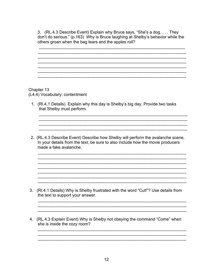3. (RL.4.3 Describe Event) Explain why Bruce says, "She's a dog.... They don't do serious." (p.163) Why is Bruce laughing at Shelby's behavior while the others groan when the bag tears and the apples roll?

Chapter 13 (L4.4) Vocabulary: contentment

- 1. (RI.4.1 Details) Explain why this day is Shelby's big day. Provide two tasks that Shelby must perform.
- 2. (RL.4.3 Describe Event) Describe how Shelby will perform the avalanche scene. In your details from the text, be sure to also include how the movie producers made a fake avalanche.

3. (RI.4.1 Details) Why is Shelby frustrated with the word "Cut!"? Use details from the text to support your answer.

4. (RL.4.3 Explain Event) Why is Shelby not obeying the command "Come" when she is inside the cozy room?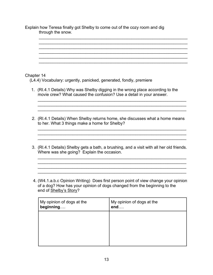Explain how Teresa finally got Shelby to come out of the cozy room and dig through the snow.

| Chapter 14<br>(L4.4) Vocabulary: urgently, panicked, generated, fondly, premiere                                                        |                                                                                                                                                                 |  |  |
|-----------------------------------------------------------------------------------------------------------------------------------------|-----------------------------------------------------------------------------------------------------------------------------------------------------------------|--|--|
|                                                                                                                                         | 1. (RI.4.1 Details) Why was Shelby digging in the wrong place according to the<br>movie crew? What caused the confusion? Use a detail in your answer.           |  |  |
| to her. What 3 things make a home for Shelby?                                                                                           | 2. (RI.4.1 Details) When Shelby returns home, she discusses what a home means                                                                                   |  |  |
| 3. (RI.4.1 Details) Shelby gets a bath, a brushing, and a visit with all her old friends.<br>Where was she going? Explain the occasion. |                                                                                                                                                                 |  |  |
|                                                                                                                                         |                                                                                                                                                                 |  |  |
| end of Shelby's Story?                                                                                                                  | 4. (W4.1.a.b.c Opinion Writing) Does first person point of view change your opinion<br>of a dog? How has your opinion of dogs changed from the beginning to the |  |  |
|                                                                                                                                         |                                                                                                                                                                 |  |  |
| My opinion of dogs at the<br>beginning                                                                                                  | My opinion of dogs at the<br>end                                                                                                                                |  |  |